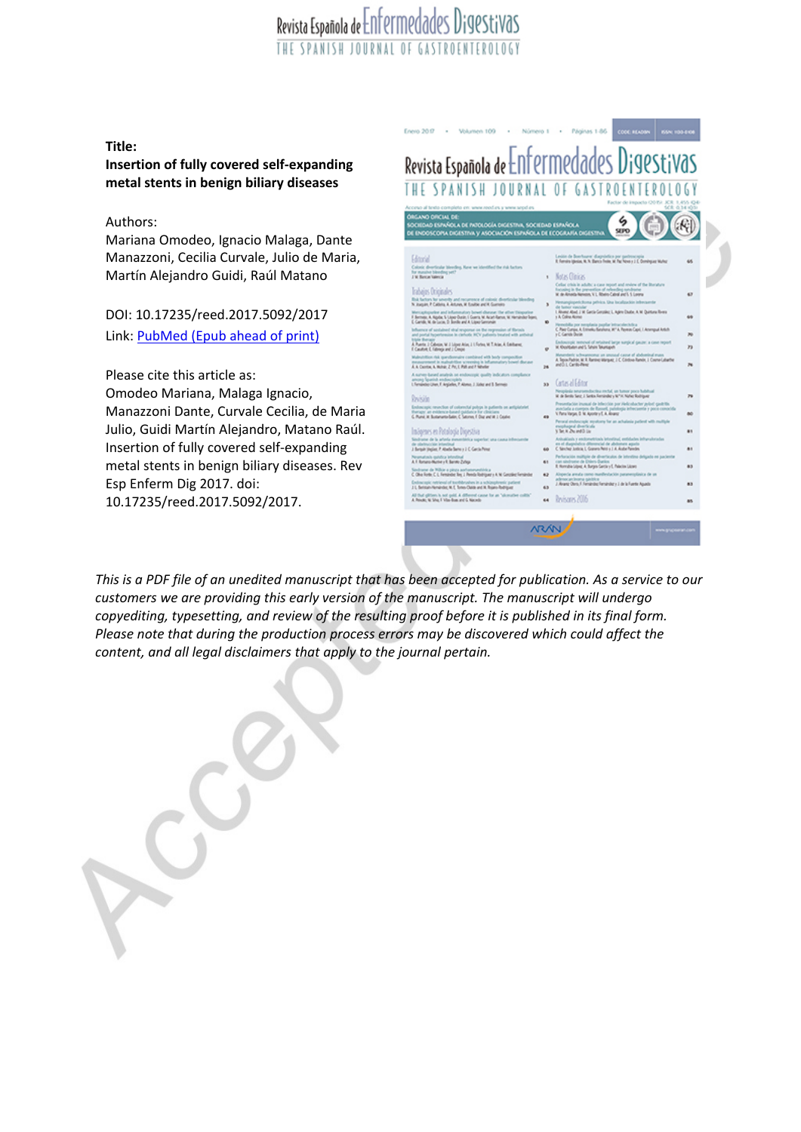### Revista Española de Enfermedades Digestivas THE SPANISH JOHRNAL OF GASTROENTEROLOGY

**Title:**

**Insertion of fully covered self-expanding metal stents in benign biliary diseases**

### Authors:

Mariana Omodeo, Ignacio Malaga, Dante Manazzoni, Cecilia Curvale, Julio de Maria, Martín Alejandro Guidi, Raúl Matano

DOI: 10.17235/reed.2017.5092/2017 Link: [PubMed](https://www.ncbi.nlm.nih.gov/pubmed/?term=10.17235/reed.2017.5092/2017) (Epub ahead of print)

Please cite this article as: Omodeo Mariana, Malaga Ignacio, Manazzoni Dante, Curvale Cecilia, de Maria Julio, Guidi Martín Alejandro, Matano Raúl. Insertion of fully covered self-expanding metal stents in benign biliary diseases. Rev Esp Enferm Dig 2017. doi: 10.17235/reed.2017.5092/2017.



This is a PDF file of an unedited manuscript that has been accepted for publication. As a service to our *customers we are providing this early version of the manuscript. The manuscript will undergo copyediting, typesetting, and review of the resulting proof before it is published in its final form. Please note that during the production process errors may be discovered which could affect the content, and all legal disclaimers that apply to the journal pertain.*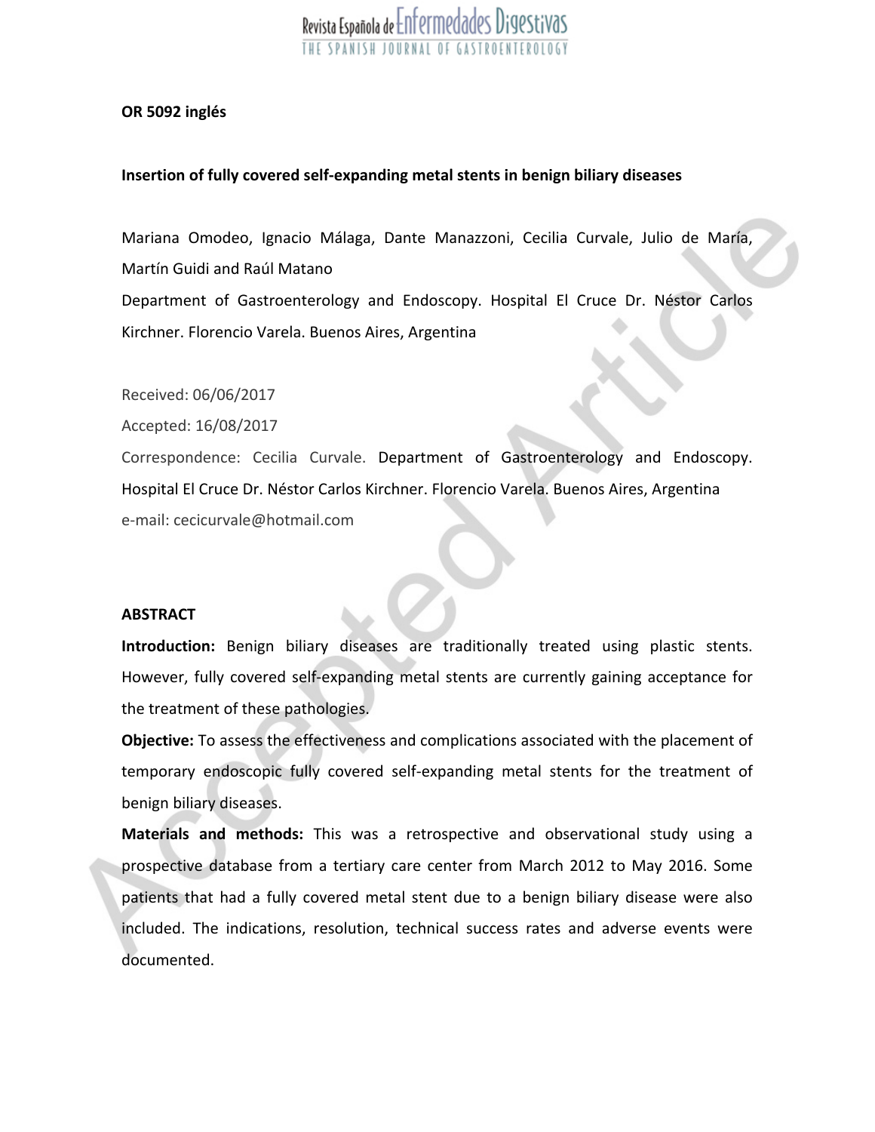#### **OR 5092 inglés**

### **Insertion of fully covered self-expanding metal stents in benign biliary diseases**

Mariana Omodeo, Ignacio Málaga, Dante Manazzoni, Cecilia Curvale, Julio de María, Martín Guidi and Raúl Matano Department of Gastroenterology and Endoscopy. Hospital El Cruce Dr. Néstor Carlos Kirchner. Florencio Varela. Buenos Aires, Argentina

Received: 06/06/2017

Accepted: 16/08/2017

Correspondence: Cecilia Curvale. Department of Gastroenterology and Endoscopy. Hospital El Cruce Dr. Néstor Carlos Kirchner. Florencio Varela. Buenos Aires, Argentina e-mail: cecicurvale@hotmail.com

### **ABSTRACT**

**Introduction:** Benign biliary diseases are traditionally treated using plastic stents. However, fully covered self-expanding metal stents are currently gaining acceptance for the treatment of these pathologies.

**Objective:** To assess the effectiveness and complications associated with the placement of temporary endoscopic fully covered self-expanding metal stents for the treatment of benign biliary diseases.

**Materials and methods:** This was <sup>a</sup> retrospective and observational study using <sup>a</sup> prospective database from <sup>a</sup> tertiary care center from March 2012 to May 2016. Some patients that had <sup>a</sup> fully covered metal stent due to <sup>a</sup> benign biliary disease were also included. The indications, resolution, technical success rates and adverse events were documented.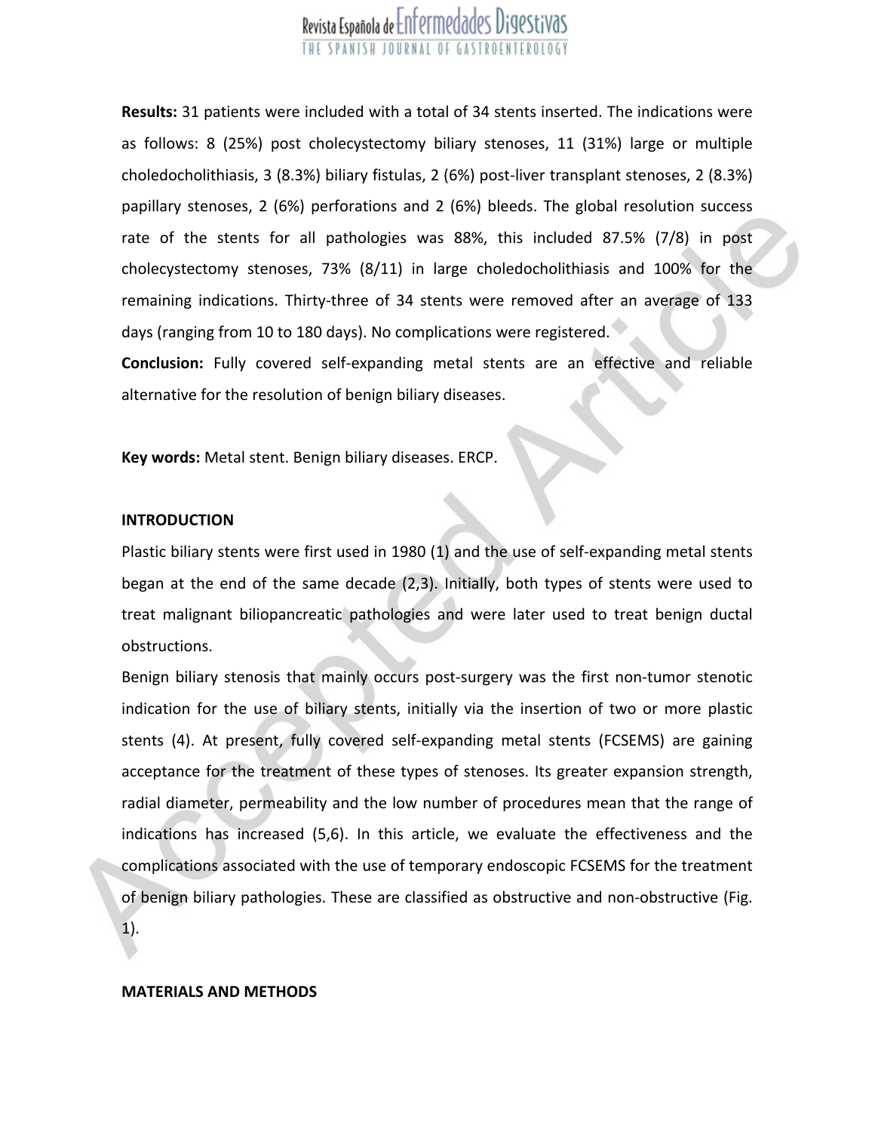**Results:** 31 patients were included with <sup>a</sup> total of 34 stents inserted. The indications were as follows: 8 (25%) post cholecystectomy biliary stenoses, 11 (31%) large or multiple choledocholithiasis, 3 (8.3%) biliary fistulas, 2 (6%) post-liver transplant stenoses, 2 (8.3%) papillary stenoses, 2 (6%) perforations and 2 (6%) bleeds. The global resolution success rate of the stents for all pathologies was 88%, this included 87.5% (7/8) in post cholecystectomy stenoses, 73% (8/11) in large choledocholithiasis and 100% for the remaining indications. Thirty-three of 34 stents were removed after an average of 133 days (ranging from 10 to 180 days). No complications were registered.

**Conclusion:** Fully covered self-expanding metal stents are an effective and reliable alternative for the resolution of benign biliary diseases.

**Key words:** Metal stent. Benign biliary diseases. ERCP.

#### **INTRODUCTION**

Plastic biliary stents were first used in 1980 (1) and the use of self-expanding metal stents began at the end of the same decade (2,3). Initially, both types of stents were used to treat malignant biliopancreatic pathologies and were later used to treat benign ductal obstructions.

Benign biliary stenosis that mainly occurs post-surgery was the first non-tumor stenotic indication for the use of biliary stents, initially via the insertion of two or more plastic stents (4). At present, fully covered self-expanding metal stents (FCSEMS) are gaining acceptance for the treatment of these types of stenoses. Its greater expansion strength, radial diameter, permeability and the low number of procedures mean that the range of indications has increased (5,6). In this article, we evaluate the effectiveness and the complications associated with the use of temporary endoscopic FCSEMS for the treatment of benign biliary pathologies. These are classified as obstructive and non-obstructive (Fig.

1).

#### **MATERIALS AND METHODS**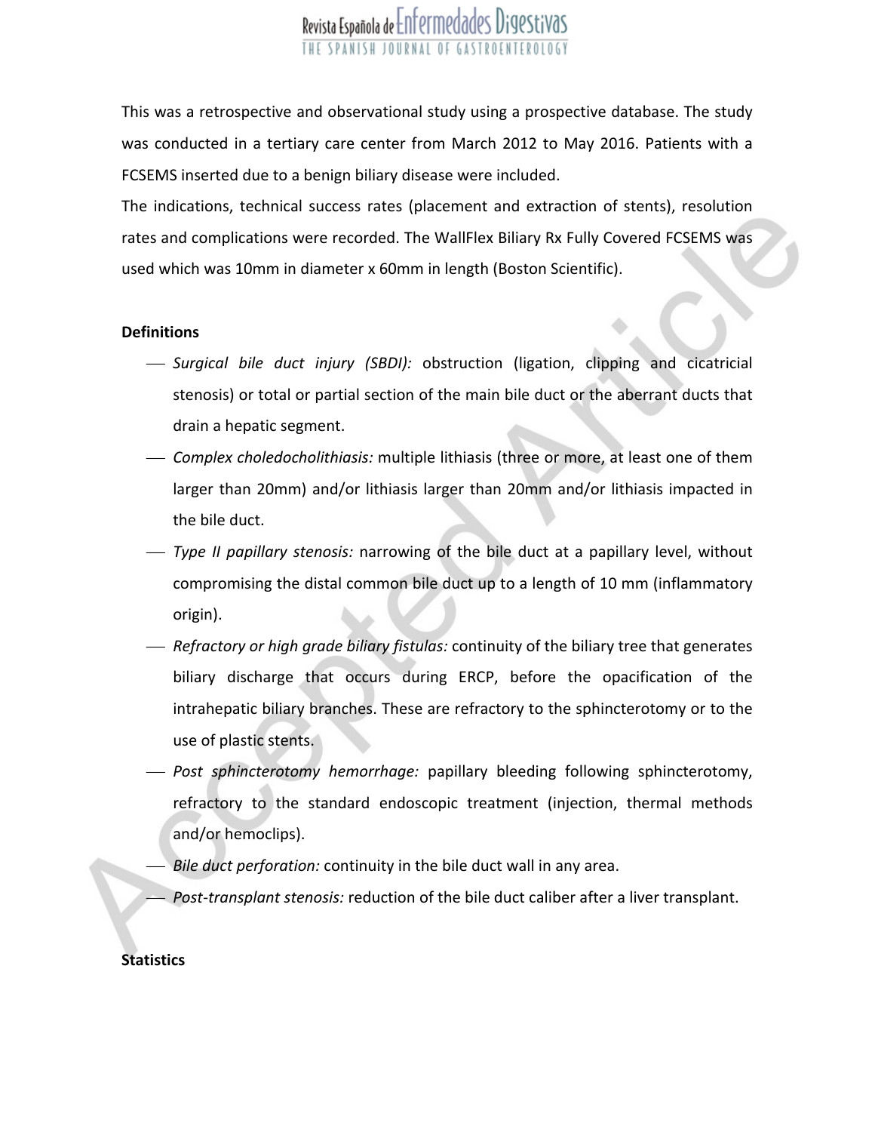This was <sup>a</sup> retrospective and observational study using <sup>a</sup> prospective database. The study was conducted in <sup>a</sup> tertiary care center from March 2012 to May 2016. Patients with <sup>a</sup> FCSEMS inserted due to <sup>a</sup> benign biliary disease were included.

The indications, technical success rates (placement and extraction of stents), resolution rates and complications were recorded. The WallFlex Biliary Rx Fully Covered FCSEMS was used which was 10mm in diameter <sup>x</sup> 60mm in length (Boston Scientific).

#### **Definitions**

- *Surgical bile duct injury (SBDI):* obstruction (ligation, clipping and cicatricial stenosis) or total or partial section of the main bile duct or the aberrant ducts that drain <sup>a</sup> hepatic segment.
- *Complex choledocholithiasis:* multiple lithiasis (three or more, at least one of them larger than 20mm) and/or lithiasis larger than 20mm and/or lithiasis impacted in the bile duct.
	- *Type II papillary stenosis:* narrowing of the bile duct at <sup>a</sup> papillary level, without compromising the distal common bile duct up to <sup>a</sup> length of 10 mm (inflammatory origin).
- *Refractory or high grade biliary fistulas:* continuity of the biliary tree that generates biliary discharge that occurs during ERCP, before the opacification of the intrahepatic biliary branches. These are refractory to the sphincterotomy or to the use of plastic stents.
- *Post sphincterotomy hemorrhage:* papillary bleeding following sphincterotomy, refractory to the standard endoscopic treatment (injection, thermal methods and/or hemoclips).
	- *Bile duct perforation:* continuity in the bile duct wall in any area.
	- *Post-transplant stenosis:* reduction of the bile duct caliber after <sup>a</sup> liver transplant.

### **Statistics**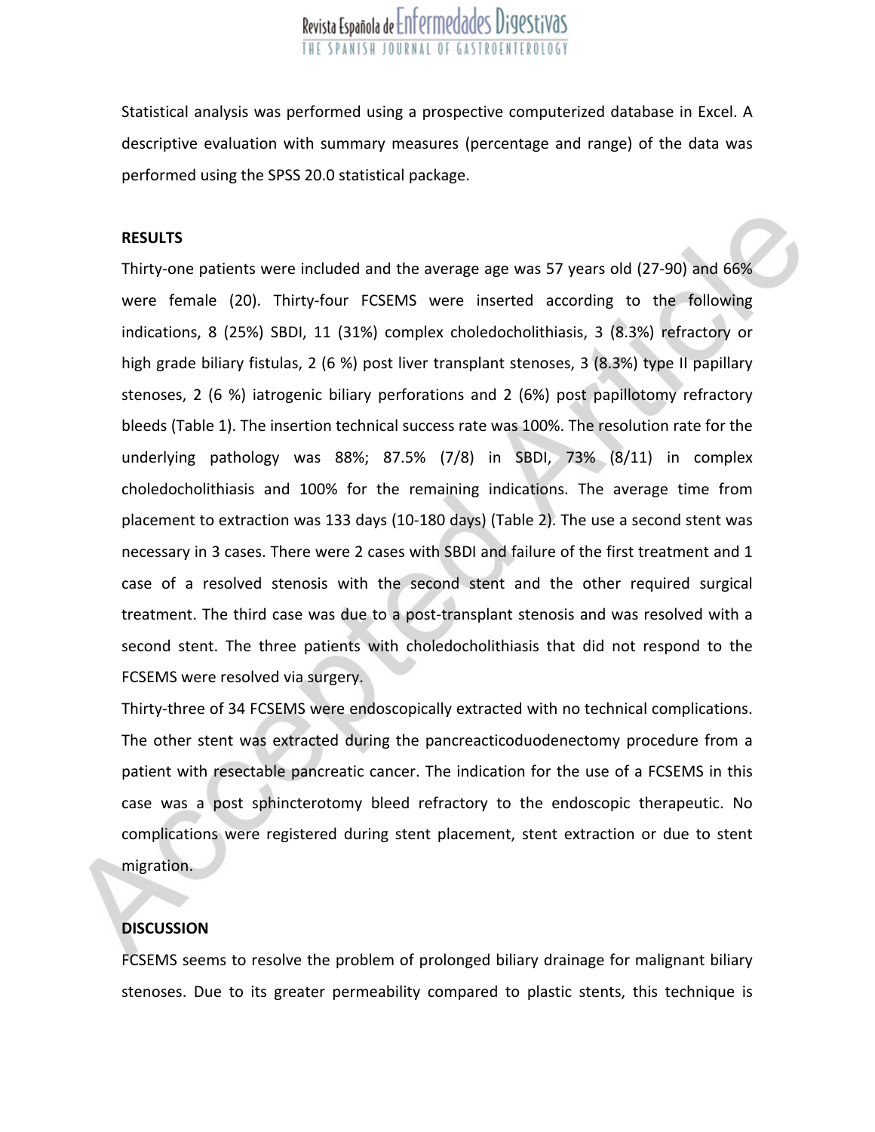Statistical analysis was performed using <sup>a</sup> prospective computerized database in Excel. A descriptive evaluation with summary measures (percentage and range) of the data was performed using the SPSS 20.0 statistical package.

### **RESULTS**

Thirty-one patients were included and the average age was 57 years old (27-90) and 66% were female (20). Thirty-four FCSEMS were inserted according to the following indications, 8 (25%) SBDI, 11 (31%) complex choledocholithiasis, 3 (8.3%) refractory or high grade biliary fistulas, 2 (6 %) post liver transplant stenoses, 3 (8.3%) type II papillary stenoses, 2 (6 %) iatrogenic biliary perforations and 2 (6%) post papillotomy refractory bleeds (Table 1). The insertion technical success rate was 100%. The resolution rate for the underlying pathology was 88%; 87.5% (7/8) in SBDI, 73% (8/11) in complex choledocholithiasis and 100% for the remaining indications. The average time from placement to extraction was 133 days (10-180 days) (Table 2). The use <sup>a</sup> second stent was necessary in 3 cases. There were 2 cases with SBDI and failure of the first treatment and 1 case of <sup>a</sup> resolved stenosis with the second stent and the other required surgical treatment. The third case was due to <sup>a</sup> post-transplant stenosis and was resolved with <sup>a</sup> second stent. The three patients with choledocholithiasis that did not respond to the FCSEMS were resolved via surgery.

Thirty-three of 34 FCSEMS were endoscopically extracted with no technical complications. The other stent was extracted during the pancreacticoduodenectomy procedure from <sup>a</sup> patient with resectable pancreatic cancer. The indication for the use of <sup>a</sup> FCSEMS in this case was <sup>a</sup> post sphincterotomy bleed refractory to the endoscopic therapeutic. No complications were registered during stent placement, stent extraction or due to stent migration.

### **DISCUSSION**

FCSEMS seems to resolve the problem of prolonged biliary drainage for malignant biliary stenoses. Due to its greater permeability compared to plastic stents, this technique is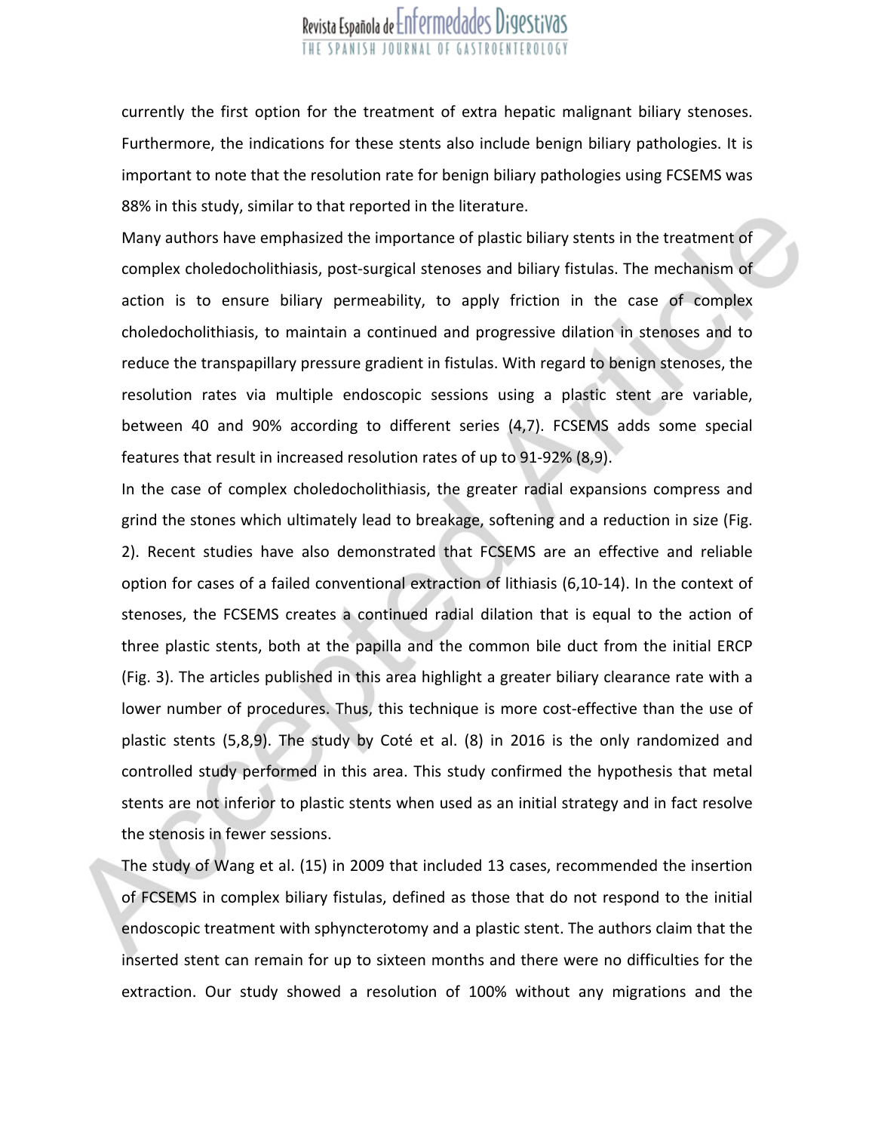currently the first option for the treatment of extra hepatic malignant biliary stenoses. Furthermore, the indications for these stents also include benign biliary pathologies. It is important to note that the resolution rate for benign biliary pathologies using FCSEMS was 88% in this study, similar to that reported in the literature.

Many authors have emphasized the importance of plastic biliary stents in the treatment of complex choledocholithiasis, post-surgical stenoses and biliary fistulas. The mechanism of action is to ensure biliary permeability, to apply friction in the case of complex choledocholithiasis, to maintain <sup>a</sup> continued and progressive dilation in stenoses and to reduce the transpapillary pressure gradient in fistulas. With regard to benign stenoses, the resolution rates via multiple endoscopic sessions using <sup>a</sup> plastic stent are variable, between 40 and 90% according to different series (4,7). FCSEMS adds some special features that result in increased resolution rates of up to 91-92% (8,9).

In the case of complex choledocholithiasis, the greater radial expansions compress and grind the stones which ultimately lead to breakage, softening and <sup>a</sup> reduction in size (Fig. 2). Recent studies have also demonstrated that FCSEMS are an effective and reliable option for cases of <sup>a</sup> failed conventional extraction of lithiasis (6,10-14). In the context of stenoses, the FCSEMS creates <sup>a</sup> continued radial dilation that is equal to the action of three plastic stents, both at the papilla and the common bile duct from the initial ERCP (Fig. 3). The articles published in this area highlight <sup>a</sup> greater biliary clearance rate with <sup>a</sup> lower number of procedures. Thus, this technique is more cost-effective than the use of plastic stents (5,8,9). The study by Coté et al. (8) in 2016 is the only randomized and controlled study performed in this area. This study confirmed the hypothesis that metal stents are not inferior to plastic stents when used as an initial strategy and in fact resolve the stenosis in fewer sessions.

The study of Wang et al. (15) in 2009 that included 13 cases, recommended the insertion of FCSEMS in complex biliary fistulas, defined as those that do not respond to the initial endoscopic treatment with sphyncterotomy and <sup>a</sup> plastic stent. The authors claim that the inserted stent can remain for up to sixteen months and there were no difficulties for the extraction. Our study showed <sup>a</sup> resolution of 100% without any migrations and the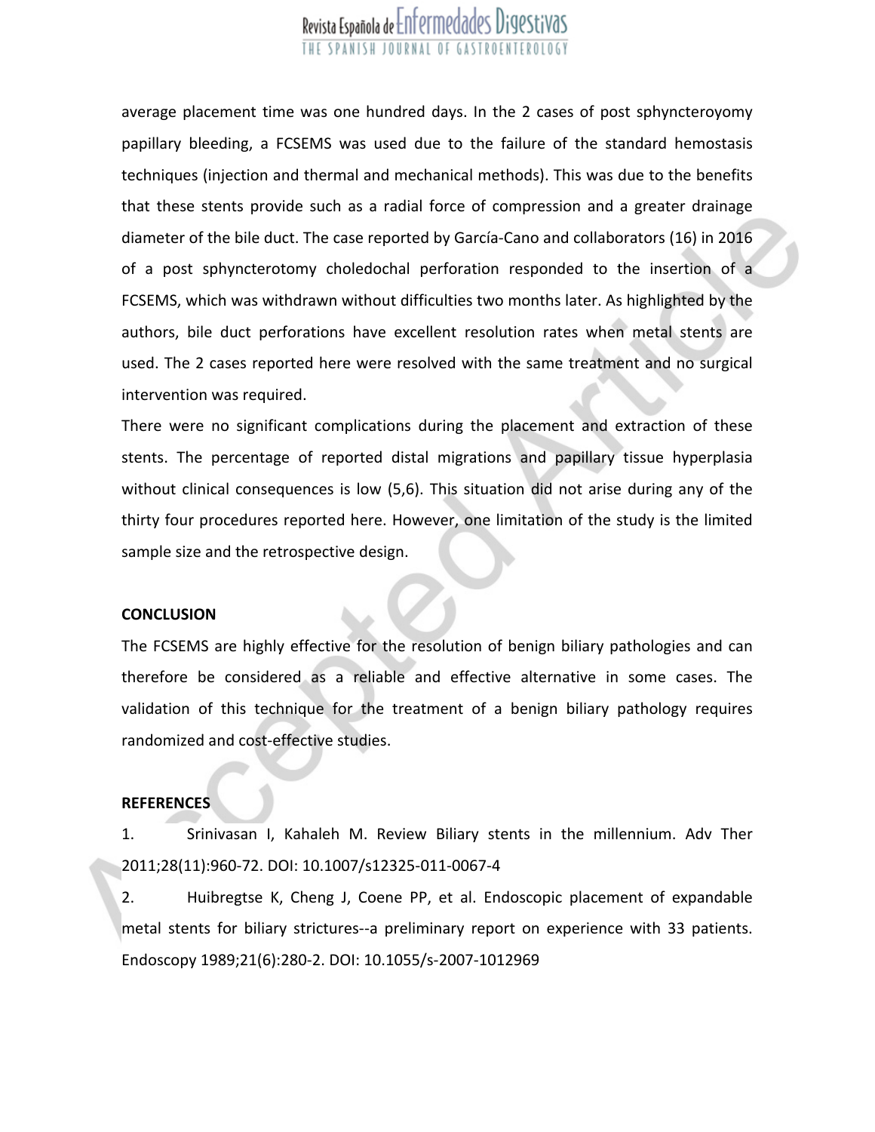average placement time was one hundred days. In the 2 cases of post sphyncteroyomy papillary bleeding, <sup>a</sup> FCSEMS was used due to the failure of the standard hemostasis techniques (injection and thermal and mechanical methods). This was due to the benefits that these stents provide such as <sup>a</sup> radial force of compression and <sup>a</sup> greater drainage diameter of the bile duct. The case reported by García-Cano and collaborators (16) in 2016 of <sup>a</sup> post sphyncterotomy choledochal perforation responded to the insertion of <sup>a</sup> FCSEMS, which was withdrawn without difficulties two months later. As highlighted by the authors, bile duct perforations have excellent resolution rates when metal stents are used. The 2 cases reported here were resolved with the same treatment and no surgical intervention was required.

There were no significant complications during the placement and extraction of these stents. The percentage of reported distal migrations and papillary tissue hyperplasia without clinical consequences is low (5,6). This situation did not arise during any of the thirty four procedures reported here. However, one limitation of the study is the limited sample size and the retrospective design.

#### **CONCLUSION**

The FCSEMS are highly effective for the resolution of benign biliary pathologies and can therefore be considered as <sup>a</sup> reliable and effective alternative in some cases. The validation of this technique for the treatment of <sup>a</sup> benign biliary pathology requires randomized and cost-effective studies.

#### **REFERENCES**

1. Srinivasan I, Kahaleh M. Review Biliary stents in the millennium. Adv Ther 2011;28(11):960-72. DOI: 10.1007/s12325-011-0067-4

2. Huibregtse K, Cheng J, Coene PP, et al. Endoscopic placement of expandable metal stents for biliary strictures--a preliminary report on experience with 33 patients. Endoscopy 1989;21(6):280-2. DOI: 10.1055/s-2007-1012969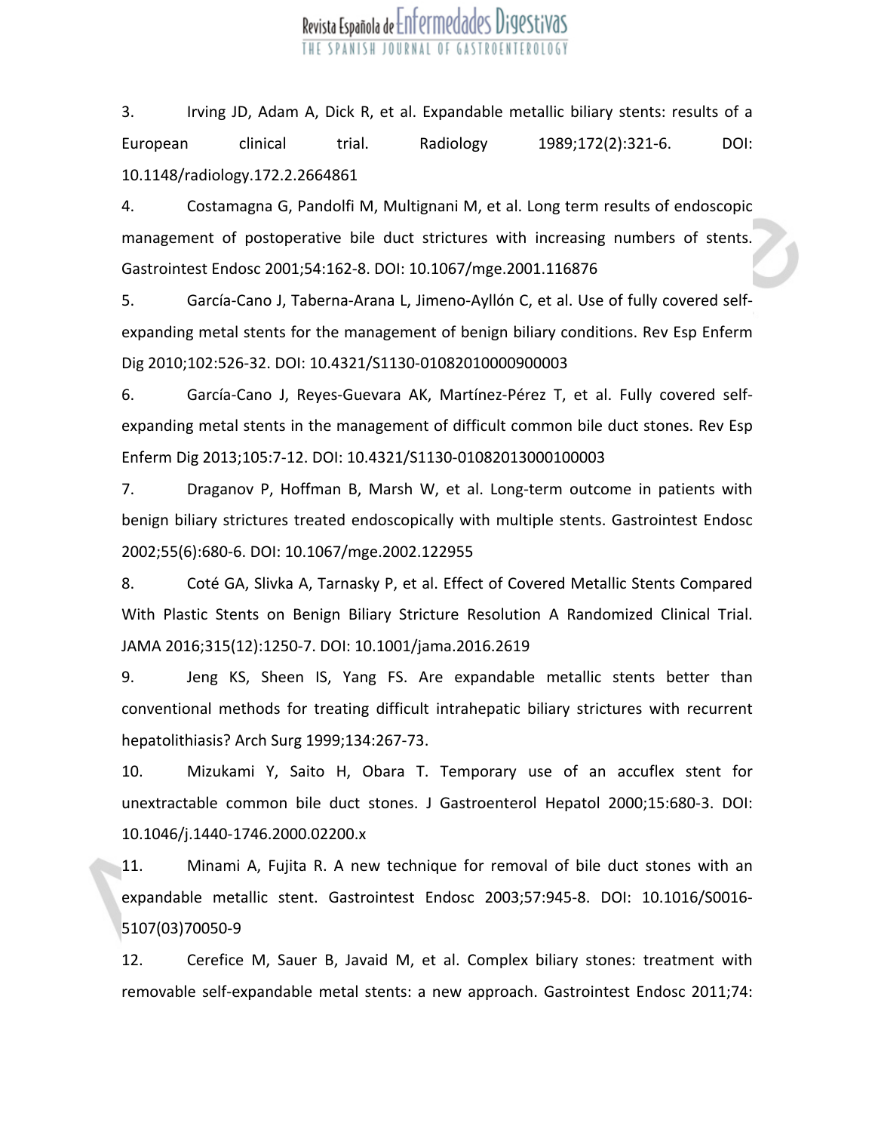3. Irving JD, Adam A, Dick R, et al. Expandable metallic biliary stents: results of <sup>a</sup> European clinical trial. Radiology 1989;172(2):321-6. DOI: 10.1148/radiology.172.2.2664861

4. Costamagna G, Pandolfi M, Multignani M, et al. Long term results of endoscopic management of postoperative bile duct strictures with increasing numbers of stents. Gastrointest Endosc 2001;54:162-8. DOI: 10.1067/mge.2001.116876

5. García-Cano J, Taberna-Arana L, Jimeno-Ayllón C, et al. Use of fully covered selfexpanding metal stents for the management of benign biliary conditions. Rev Esp Enferm Dig 2010;102:526-32. DOI: 10.4321/S1130-01082010000900003

6. García-Cano J, Reyes-Guevara AK, Martínez-Pérez T, et al. Fully covered selfexpanding metal stents in the management of difficult common bile duct stones. Rev Esp Enferm Dig 2013;105:7-12. DOI: 10.4321/S1130-01082013000100003

7. Draganov P, Hoffman B, Marsh W, et al. Long-term outcome in patients with benign biliary strictures treated endoscopically with multiple stents. Gastrointest Endosc 2002;55(6):680-6. DOI: 10.1067/mge.2002.122955

8. Coté GA, Slivka A, Tarnasky P, et al. Effect of Covered Metallic Stents Compared With Plastic Stents on Benign Biliary Stricture Resolution A Randomized Clinical Trial. JAMA 2016;315(12):1250-7. DOI: 10.1001/jama.2016.2619

9. Jeng KS, Sheen IS, Yang FS. Are expandable metallic stents better than conventional methods for treating difficult intrahepatic biliary strictures with recurrent hepatolithiasis? Arch Surg 1999;134:267-73.

10. Mizukami Y, Saito H, Obara T. Temporary use of an accuflex stent for unextractable common bile duct stones. J Gastroenterol Hepatol 2000;15:680-3. DOI: 10.1046/j.1440-1746.2000.02200.x

11. Minami A, Fujita R. A new technique for removal of bile duct stones with an expandable metallic stent. Gastrointest Endosc 2003;57:945-8. DOI: 10.1016/S0016- 5107(03)70050-9

12. Cerefice M, Sauer B, Javaid M, et al. Complex biliary stones: treatment with removable self-expandable metal stents: <sup>a</sup> new approach. Gastrointest Endosc 2011;74: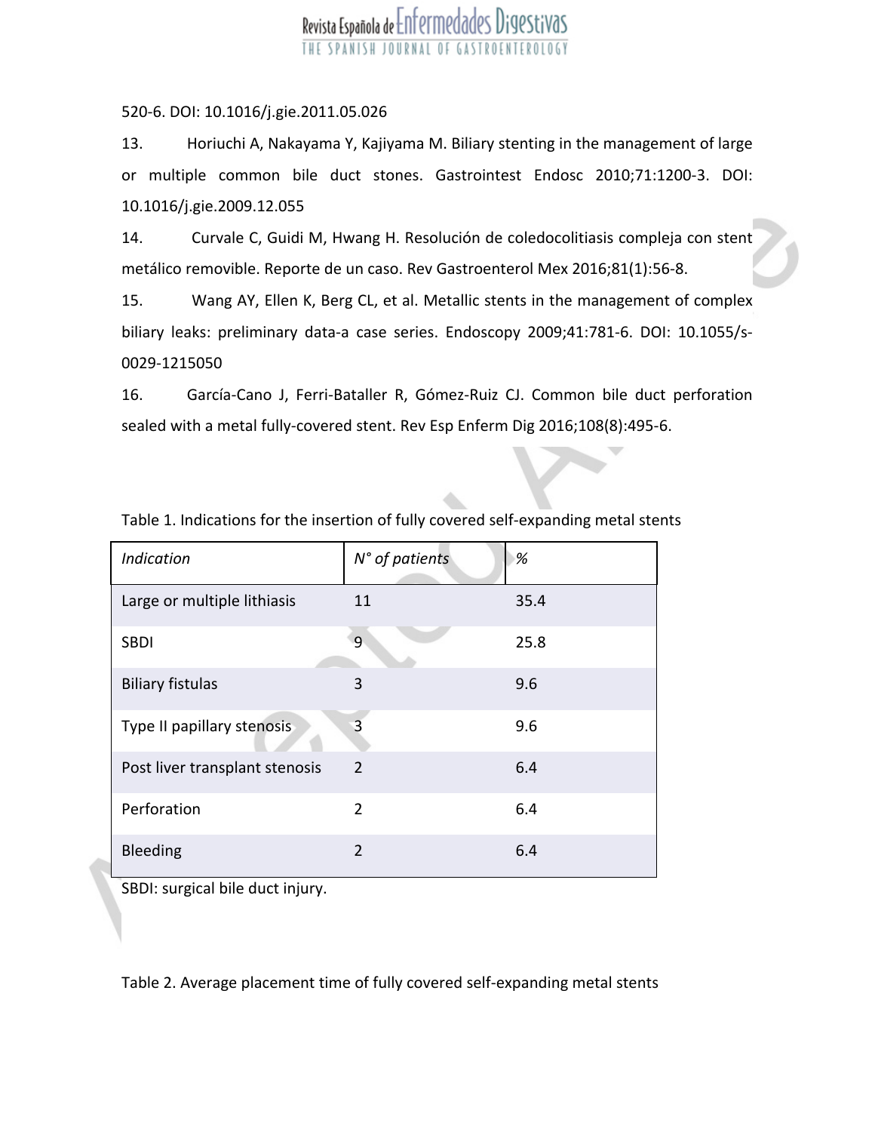### 520-6. DOI: 10.1016/j.gie.2011.05.026

13. Horiuchi A, Nakayama Y, Kajiyama M. Biliary stenting in the management of large or multiple common bile duct stones. Gastrointest Endosc 2010;71:1200-3. DOI: 10.1016/j.gie.2009.12.055

14. Curvale C, Guidi M, Hwang H. Resolución de coledocolitiasis compleja con stent metálico removible. Reporte de un caso. Rev Gastroenterol Mex 2016;81(1):56-8.

15. Wang AY, Ellen K, Berg CL, et al. Metallic stents in the management of complex biliary leaks: preliminary data-a case series. Endoscopy 2009;41:781-6. DOI: 10.1055/s-0029-1215050

16. García-Cano J, Ferri-Bataller R, Gómez-Ruiz CJ. Common bile duct perforation sealed with <sup>a</sup> metal fully-covered stent. Rev Esp Enferm Dig 2016;108(8):495-6.

| <b>Indication</b>              | N° of patients | %    |
|--------------------------------|----------------|------|
| Large or multiple lithiasis    | 11             | 35.4 |
| <b>SBDI</b>                    | 9              | 25.8 |
| <b>Biliary fistulas</b>        | 3              | 9.6  |
| Type II papillary stenosis     | 3              | 9.6  |
| Post liver transplant stenosis | $\overline{2}$ | 6.4  |
| Perforation                    | $\overline{2}$ | 6.4  |
| Bleeding                       | $\overline{2}$ | 6.4  |

Table 1. Indications for the insertion of fully covered self-expanding metal stents

SBDI: surgical bile duct injury.

Table 2. Average placement time of fully covered self-expanding metal stents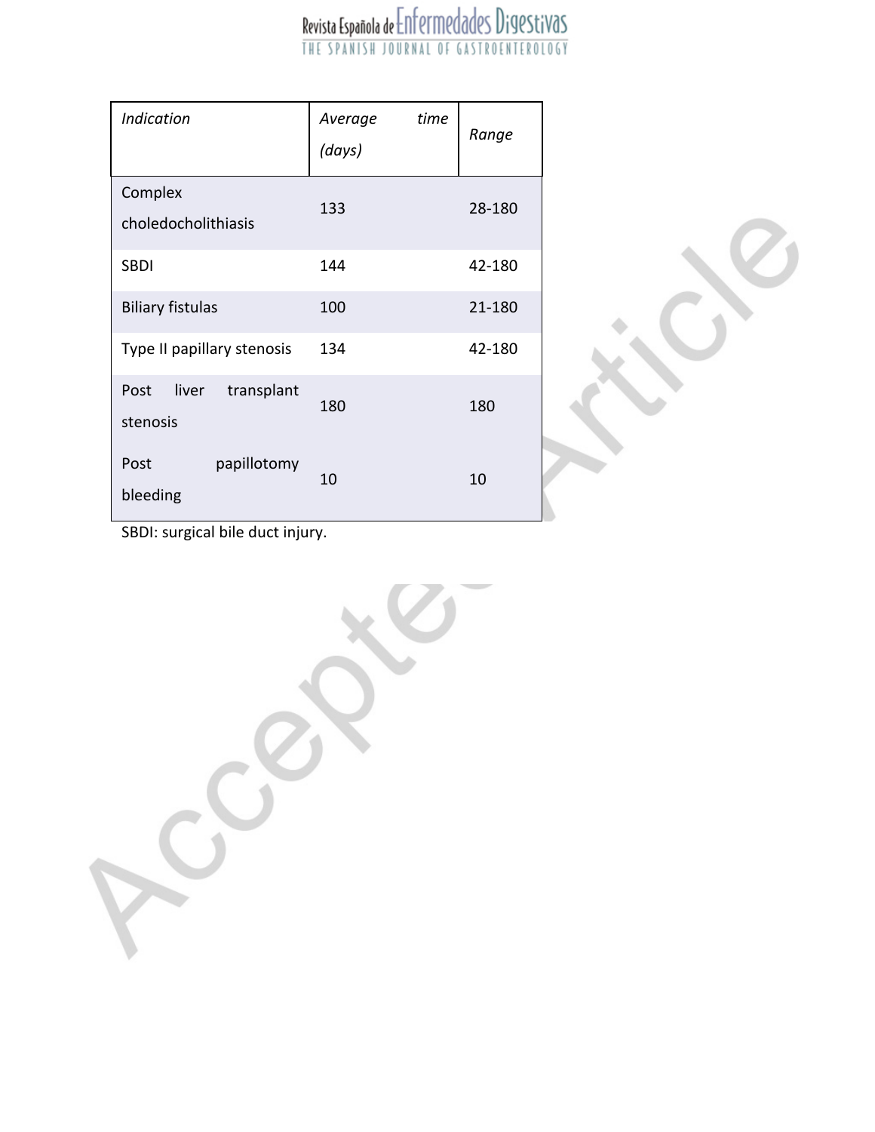| <b>Indication</b>                       | time<br>Average<br>(days) | Range  |
|-----------------------------------------|---------------------------|--------|
| Complex<br>choledocholithiasis          | 133                       | 28-180 |
| <b>SBDI</b>                             | 144                       | 42-180 |
| <b>Biliary fistulas</b>                 | 100                       | 21-180 |
| Type II papillary stenosis              | 134                       | 42-180 |
| liver<br>transplant<br>Post<br>stenosis | 180                       | 180    |
| papillotomy<br>Post<br>bleeding         | 10                        | 10     |



SBDI: surgical bile duct injury.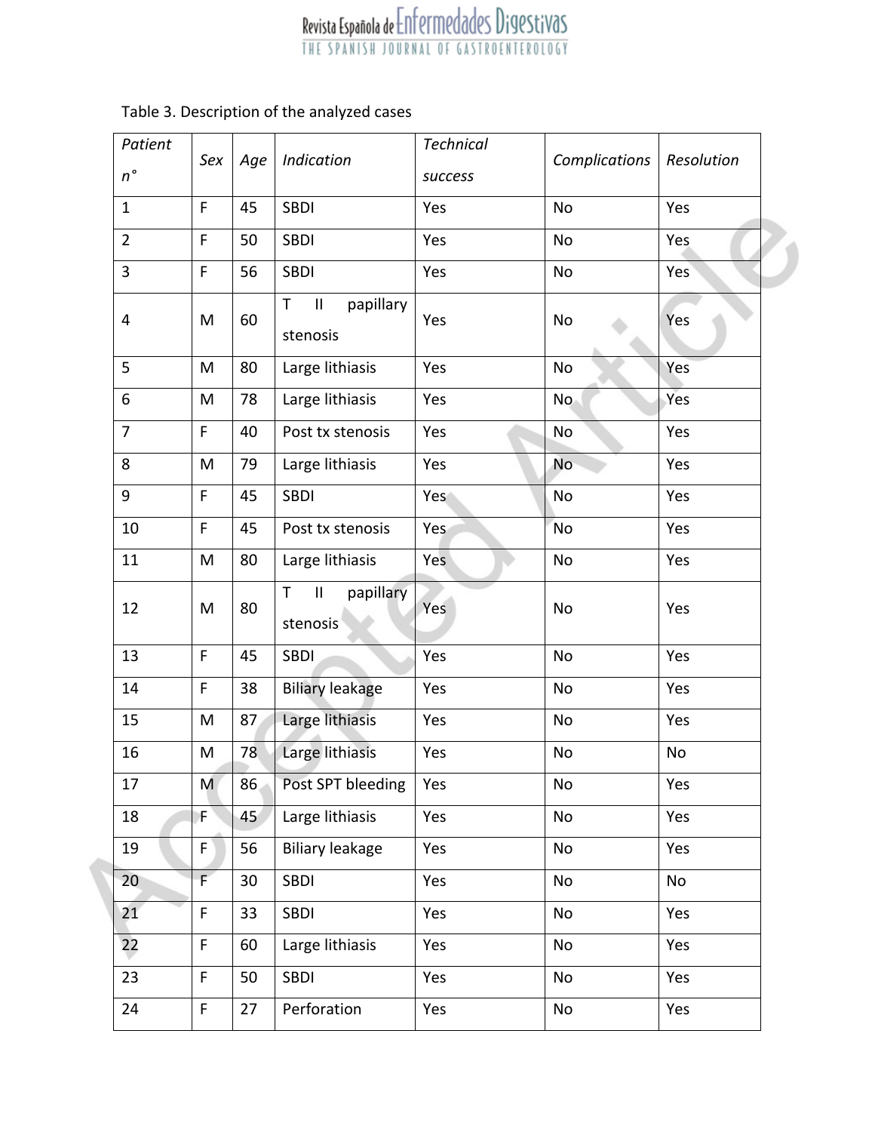| Patient        |             |     |                                                                     | <b>Technical</b> |               |            |
|----------------|-------------|-----|---------------------------------------------------------------------|------------------|---------------|------------|
| $n^{\circ}$    | Sex         | Age | Indication                                                          | success          | Complications | Resolution |
| $\mathbf{1}$   | F           | 45  | <b>SBDI</b>                                                         | Yes              | No            | Yes        |
| $\overline{2}$ | F           | 50  | <b>SBDI</b>                                                         | Yes              | No            | Yes        |
| 3              | F           | 56  | <b>SBDI</b>                                                         | Yes              | No            | Yes        |
| 4              | M           | 60  | $\mathbf{II}$<br>papillary<br>$\mathsf{T}$<br>stenosis              | Yes              | No            | Yes        |
| 5              | M           | 80  | Large lithiasis                                                     | Yes              | No            | Yes        |
| 6              | M           | 78  | Large lithiasis                                                     | Yes              | No.           | Yes        |
| $\overline{7}$ | F.          | 40  | Post tx stenosis                                                    | Yes              | No            | Yes        |
| 8              | M           | 79  | Large lithiasis                                                     | Yes              | No            | Yes        |
| 9              | F.          | 45  | <b>SBDI</b>                                                         | Yes              | No            | Yes        |
| 10             | F.          | 45  | Post tx stenosis                                                    | Yes              | No            | Yes        |
| 11             | M           | 80  | Large lithiasis                                                     | Yes              | No            | Yes        |
| 12             | M           | 80  | $\ensuremath{\mathsf{II}}$<br>papillary<br>$\mathsf{T}$<br>stenosis | Yes              | No            | Yes        |
| 13             | F.          | 45  | <b>SBDI</b>                                                         | Yes              | No            | Yes        |
| 14             | F           | 38  | <b>Biliary leakage</b>                                              | Yes              | No            | Yes        |
| 15             | M           | 87  | Large lithiasis                                                     | Yes              | No            | Yes        |
| 16             | M           | 78  | Large lithiasis                                                     | Yes              | No            | No         |
| 17             | M           | 86  | Post SPT bleeding                                                   | Yes              | No            | Yes        |
| 18             | F           | 45  | Large lithiasis                                                     | Yes              | No            | Yes        |
| 19             | F           | 56  | <b>Biliary leakage</b>                                              | Yes              | No            | Yes        |
| 20             | F           | 30  | SBDI                                                                | Yes              | No            | No         |
| 21             | $\mathsf F$ | 33  | <b>SBDI</b>                                                         | Yes              | No            | Yes        |
| 22             | F           | 60  | Large lithiasis                                                     | Yes              | No            | Yes        |
| 23             | F           | 50  | <b>SBDI</b>                                                         | Yes              | No            | Yes        |
| 24             | $\mathsf F$ | 27  | Perforation                                                         | Yes              | No            | Yes        |

### Table 3. Description of the analyzed cases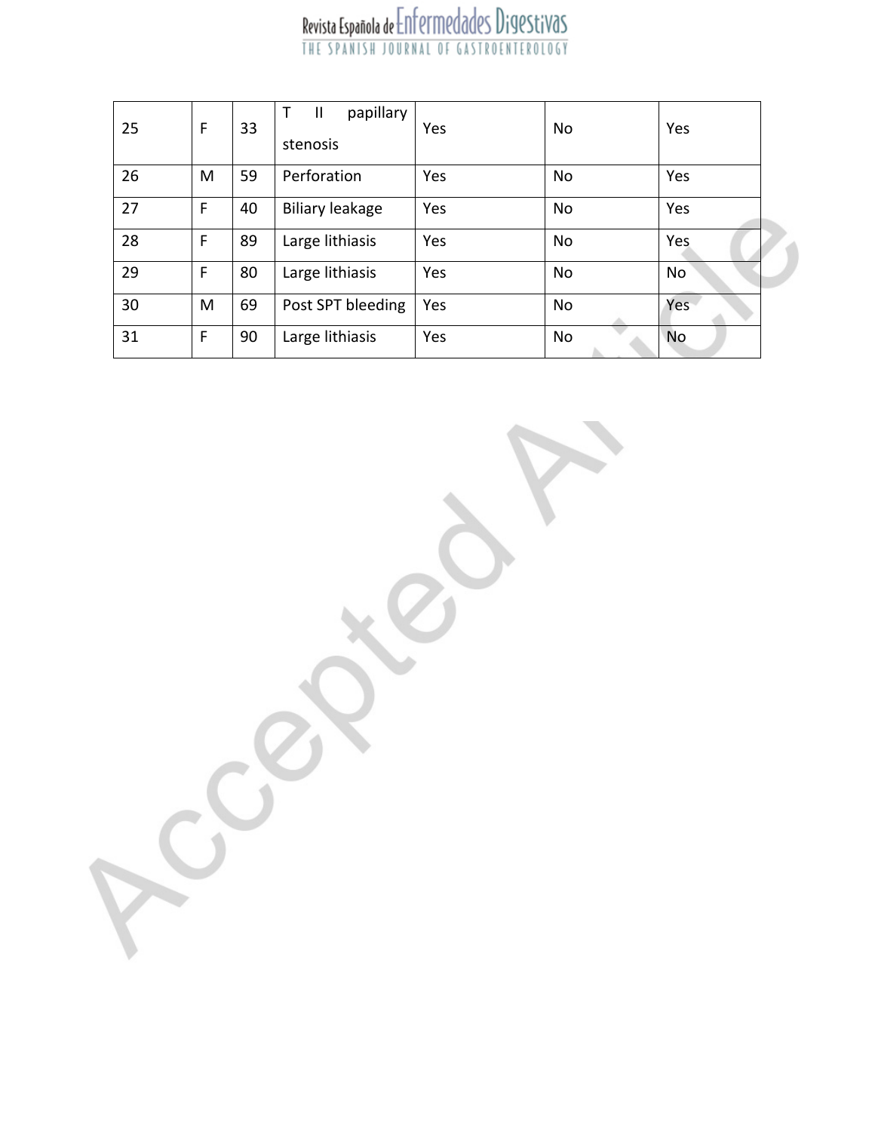| 25 | F | 33 | papillary<br>$\top$<br>$\mathbf{I}$<br>stenosis | Yes | No        | Yes       |  |
|----|---|----|-------------------------------------------------|-----|-----------|-----------|--|
| 26 | M | 59 | Perforation                                     | Yes | No        | Yes       |  |
| 27 | F | 40 | <b>Biliary leakage</b>                          | Yes | No        | Yes       |  |
| 28 | F | 89 | Large lithiasis                                 | Yes | <b>No</b> | Yes       |  |
| 29 | F | 80 | Large lithiasis                                 | Yes | No        | No        |  |
| 30 | M | 69 | Post SPT bleeding                               | Yes | No        | Yes       |  |
| 31 | F | 90 | Large lithiasis                                 | Yes | No        | <b>No</b> |  |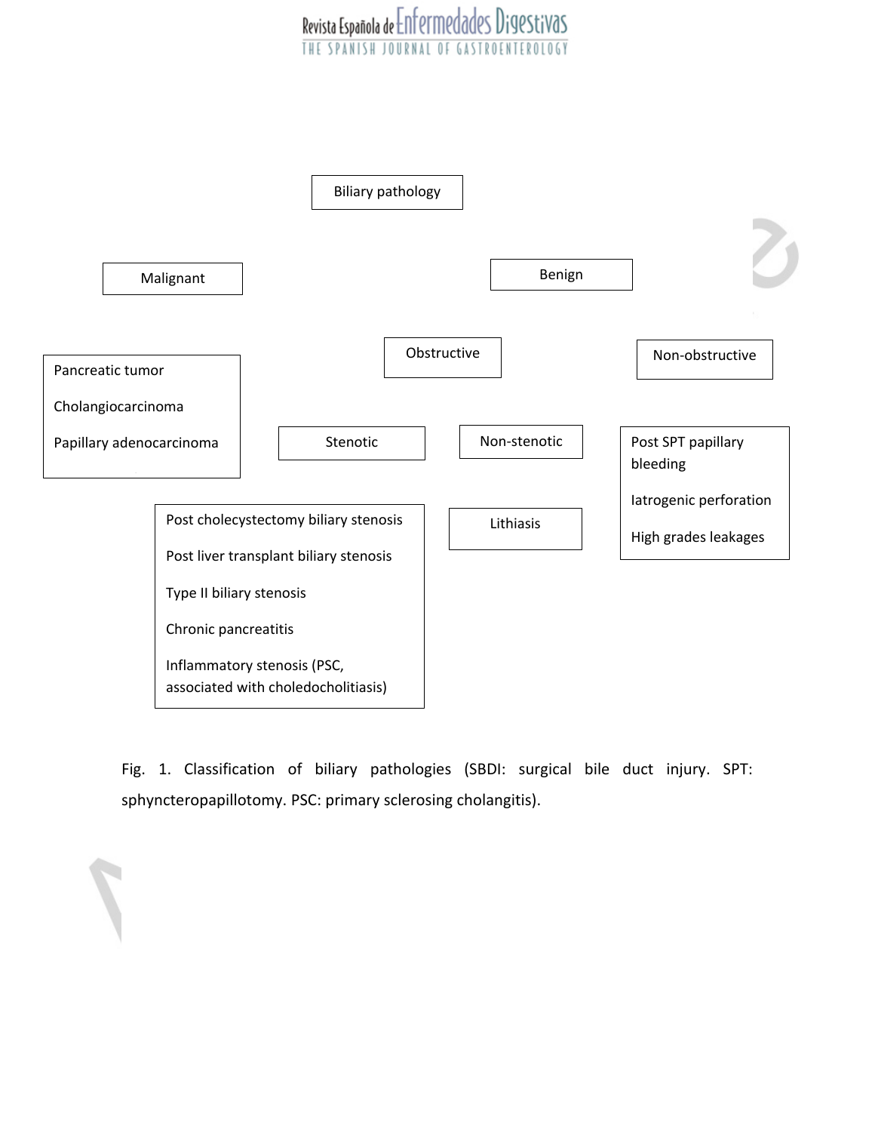### Revista Española de Enfermedades Digestivas **SPANISH** JOURNAL OF



Fig. 1. Classification of biliary pathologies (SBDI: surgical bile duct injury. SPT: sphyncteropapillotomy. PSC: primary sclerosing cholangitis).